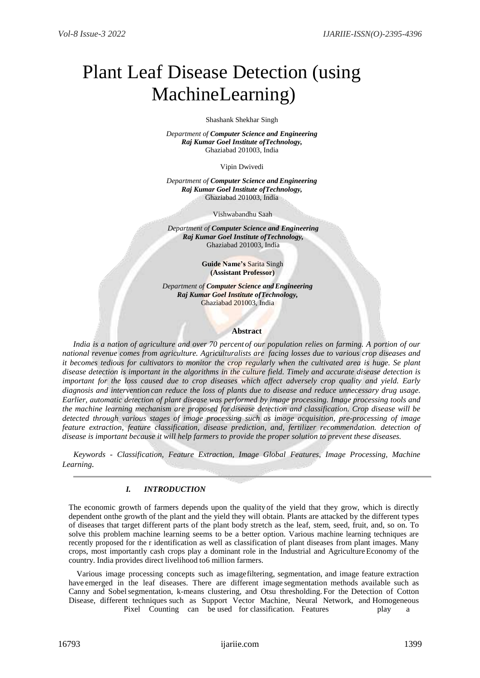# Plant Leaf Disease Detection (using MachineLearning)

Shashank Shekhar Singh

*Department of Computer Science and Engineering Raj Kumar Goel Institute ofTechnology,* Ghaziabad 201003, India

Vipin Dwivedi

*Department of Computer Science and Engineering Raj Kumar Goel Institute ofTechnology,* Ghaziabad 201003, India

Vishwabandhu Saah

*Department of Computer Science and Engineering Raj Kumar Goel Institute ofTechnology,* Ghaziabad 201003, India

> **Guide Name's** Sarita Singh **(Assistant Professor)**

*Department of Computer Science and Engineering Raj Kumar Goel Institute ofTechnology,* Ghaziabad 201003, India

#### **Abstract**

*India is a nation of agriculture and over 70 percentof our population relies on farming. A portion of our national revenue comes from agriculture. Agriculturalists are facing losses due to various crop diseases and it becomes tedious for cultivators to monitor the crop regularly when the cultivated area is huge. Se plant disease detection is important in the algorithms in the culture field. Timely and accurate disease detection is important for the loss caused due to crop diseases which affect adversely crop quality and yield. Early diagnosis and intervention can reduce the loss of plants due to disease and reduce unnecessary drug usage. Earlier, automatic detection of plant disease was performed by image processing. Image processing tools and the machine learning mechanism are proposed for disease detection and classification. Crop disease will be detected through various stages of image processing such as image acquisition, pre-processing of image feature extraction, feature classification, disease prediction, and, fertilizer recommendation. detection of disease is important because it will help farmers to provide the proper solution to prevent these diseases.*

*Keywords - Classification, Feature Extraction, Image Global Features, Image Processing, Machine Learning.*

## *I. INTRODUCTION*

The economic growth of farmers depends upon the quality of the yield that they grow, which is directly dependent onthe growth of the plant and the yield they will obtain. Plants are attacked by the different types of diseases that target different parts of the plant body stretch as the leaf, stem, seed, fruit, and, so on. To solve this problem machine learning seems to be a better option. Various machine learning techniques are recently proposed for the r identification as well as classification of plant diseases from plant images. Many crops, most importantly cash crops play a dominant role in the Industrial and AgricultureEconomy of the country. India provides direct livelihood to6 million farmers.

Various image processing concepts such as imagefiltering, segmentation, and image feature extraction have emerged in the leaf diseases. There are different image segmentation methods available such as Canny and Sobelsegmentation, k-means clustering, and Otsu thresholding. For the Detection of Cotton Disease, different techniques such as Support Vector Machine, Neural Network, and Homogeneous Pixel Counting can be used for classification. Features play a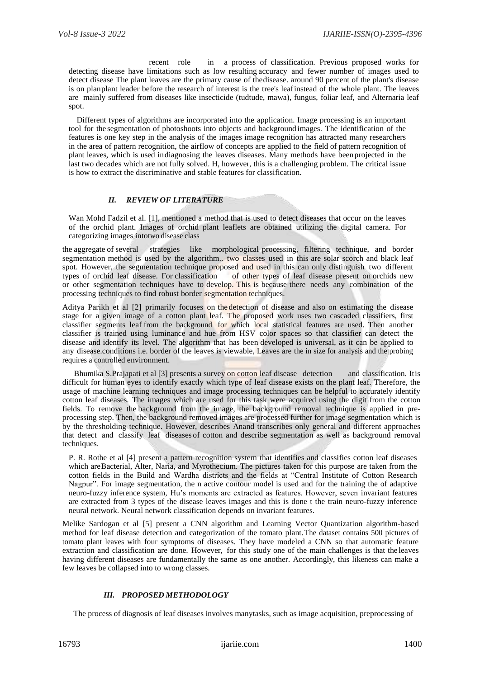recent role in a process of classification. Previous proposed works for detecting disease have limitations such as low resulting accuracy and fewer number of images used to detect disease The plant leaves are the primary cause of thedisease. around 90 percent of the plant's disease is on planplant leader before the research of interest is the tree's leafinstead of the whole plant. The leaves are mainly suffered from diseases like insecticide (tudtude, mawa), fungus, foliar leaf, and Alternaria leaf spot.

Different types of algorithms are incorporated into the application. Image processing is an important tool for the segmentation of photoshoots into objects and background images. The identification of the features is one key step in the analysis of the images image recognition has attracted many researchers in the area of pattern recognition, the airflow of concepts are applied to the field of pattern recognition of plant leaves, which is used indiagnosing the leaves diseases. Many methods have beenprojected in the last two decades which are not fully solved. H, however, this is a challenging problem. The critical issue is how to extract the discriminative and stable features for classification.

## *II. REVIEW OF LITERATURE*

Wan Mohd Fadzil et al. [1], mentioned a method that is used to detect diseases that occur on the leaves of the orchid plant. Images of orchid plant leaflets are obtained utilizing the digital camera. For categorizing images intotwo disease class

the aggregate of several strategies like morphological processing, filtering technique, and border segmentation method is used by the algorithm.. two classes used in this are solar scorch and black leaf spot. However, the segmentation technique proposed and used in this can only distinguish two different types of orchid leaf disease. For classification of other types of leaf disease present on orchids new of other types of leaf disease present on orchids new or other segmentation techniques have to develop. This is because there needs any combination of the processing techniques to find robust border segmentation techniques.

Aditya Parikh et al [2] primarily focuses on the detection of disease and also on estimating the disease stage for a given image of a cotton plant leaf. The proposed work uses two cascaded classifiers, first classifier segments leaf from the background for which local statistical features are used. Then another classifier is trained using luminance and hue from HSV color spaces so that classifier can detect the disease and identify its level. The algorithm that has been developed is universal, as it can be applied to any disease.conditions i.e. border of the leaves is viewable, Leaves are the in size for analysis and the probing requires a controlled environment.

Bhumika S.Prajapati et al [3] presents a survey on cotton leaf disease detection and classification. It is difficult for human eyes to identify exactly which type of leaf disease exists on the plant leaf. Therefore, the usage of machine learning techniques and image processing techniques can be helpful to accurately identify cotton leaf diseases. The images which are used for this task were acquired using the digit from the cotton fields. To remove the background from the image, the background removal technique is applied in preprocessing step. Then, the background removed images are processed further for image segmentation which is by the thresholding technique. However, describes Anand transcribes only general and different approaches that detect and classify leaf diseases of cotton and describe segmentation as well as background removal techniques.

P. R. Rothe et al [4] present a pattern recognition system that identifies and classifies cotton leaf diseases which areBacterial, Alter, Naria, and Myrothecium. The pictures taken for this purpose are taken from the cotton fields in the Build and Wardha districts and the fields at "Central Institute of Cotton Research Nagpur". For image segmentation, the n active contour model is used and for the training the of adaptive neuro-fuzzy inference system, Hu's moments are extracted as features. However, seven invariant features are extracted from 3 types of the disease leaves images and this is done t the train neuro-fuzzy inference neural network. Neural network classification depends on invariant features.

Melike Sardogan et al [5] present a CNN algorithm and Learning Vector Quantization algorithm-based method for leaf disease detection and categorization of the tomato plant.The dataset contains 500 pictures of tomato plant leaves with four symptoms of diseases. They have modeled a CNN so that automatic feature extraction and classification are done. However, for this study one of the main challenges is that the leaves having different diseases are fundamentally the same as one another. Accordingly, this likeness can make a few leaves be collapsed into to wrong classes.

### *III. PROPOSED METHODOLOGY*

The process of diagnosis of leaf diseases involves manytasks, such as image acquisition, preprocessing of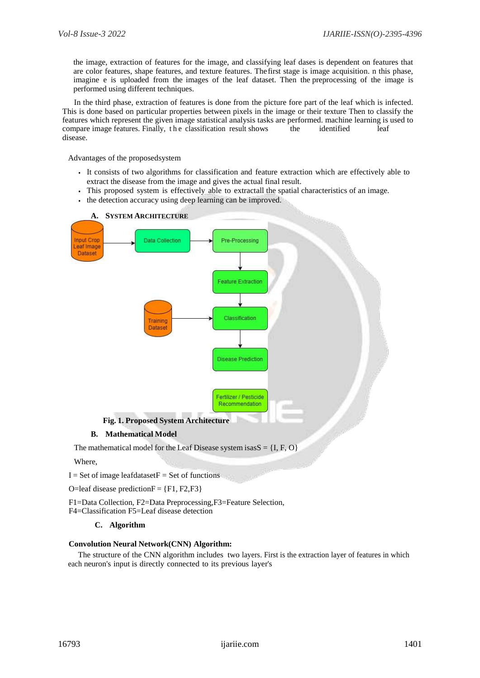the image, extraction of features for the image, and classifying leaf dases is dependent on features that are color features, shape features, and texture features. Thefirst stage is image acquisition. n this phase, imagine e is uploaded from the images of the leaf dataset. Then the preprocessing of the image is performed using different techniques.

In the third phase, extraction of features is done from the picture fore part of the leaf which is infected. This is done based on particular properties between pixels in the image or their texture Then to classify the features which represent the given image statistical analysis tasks are performed. machine learning is used to compare image features. Finally, the classification result shows the identified leaf disease.

Advantages of the proposedsystem

- It consists of two algorithms for classification and feature extraction which are effectively able to extract the disease from the image and gives the actual final result.
- This proposed system is effectively able to extractall the spatial characteristics of an image.
- the detection accuracy using deep learning can be improved.



### **B. Mathematical Model**

The mathematical model for the Leaf Disease system isas $S = \{I, F, O\}$ 

### Where,

 $I = Set of image leaf datasetF = Set of functions$ 

O=leaf disease prediction $F = \{F1, F2, F3\}$ 

F1=Data Collection, F2=Data Preprocessing,F3=Feature Selection,

F4=Classification F5=Leaf disease detection

## **C. Algorithm**

### **Convolution Neural Network(CNN) Algorithm:**

The structure of the CNN algorithm includes two layers. First is the extraction layer of features in which each neuron's input is directly connected to its previous layer's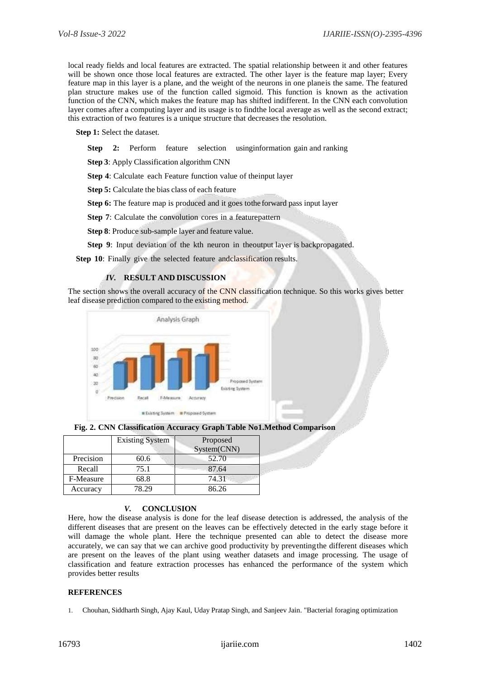local ready fields and local features are extracted. The spatial relationship between it and other features will be shown once those local features are extracted. The other layer is the feature map layer; Every feature map in this layer is a plane, and the weight of the neurons in one planeis the same. The featured plan structure makes use of the function called sigmoid. This function is known as the activation function of the CNN, which makes the feature map has shifted indifferent. In the CNN each convolution layer comes after a computing layer and its usage is to findthe local average as well as the second extract; this extraction of two features is a unique structure that decreases the resolution.

**Step 1:** Select the dataset.

**Step** 2: Perform feature selection using information gain and ranking

**Step 3**: Apply Classification algorithm CNN

**Step 4**: Calculate each Feature function value of theinput layer

**Step 5:** Calculate the bias class of each feature

**Step 6:** The feature map is produced and it goes tothe forward pass input layer

**Step 7**: Calculate the convolution cores in a featurepattern

**Step 8**: Produce sub-sample layer and feature value.

**Step 9**: Input deviation of the kth neuron in theoutput layer is backpropagated.

**Step 10**: Finally give the selected feature andclassification results.

## *IV.* **RESULT AND DISCUSSION**

The section shows the overall accuracy of the CNN classification technique. So this works gives better leaf disease prediction compared to the existing method.





|           | <b>Existing System</b> | Proposed    |  |
|-----------|------------------------|-------------|--|
|           |                        | System(CNN) |  |
| Precision | 60.6                   | 52.70       |  |
| Recall    | 75.1                   | 87.64       |  |
| F-Measure | 68.8                   | 74.31       |  |
| Accuracy  | 78.29                  | 86.26       |  |

## *V.* **CONCLUSION**

Here, how the disease analysis is done for the leaf disease detection is addressed, the analysis of the different diseases that are present on the leaves can be effectively detected in the early stage before it will damage the whole plant. Here the technique presented can able to detect the disease more accurately, we can say that we can archive good productivity by preventingthe different diseases which are present on the leaves of the plant using weather datasets and image processing. The usage of classification and feature extraction processes has enhanced the performance of the system which provides better results

### **REFERENCES**

1. Chouhan, Siddharth Singh, Ajay Kaul, Uday Pratap Singh, and Sanjeev Jain. "Bacterial foraging optimization